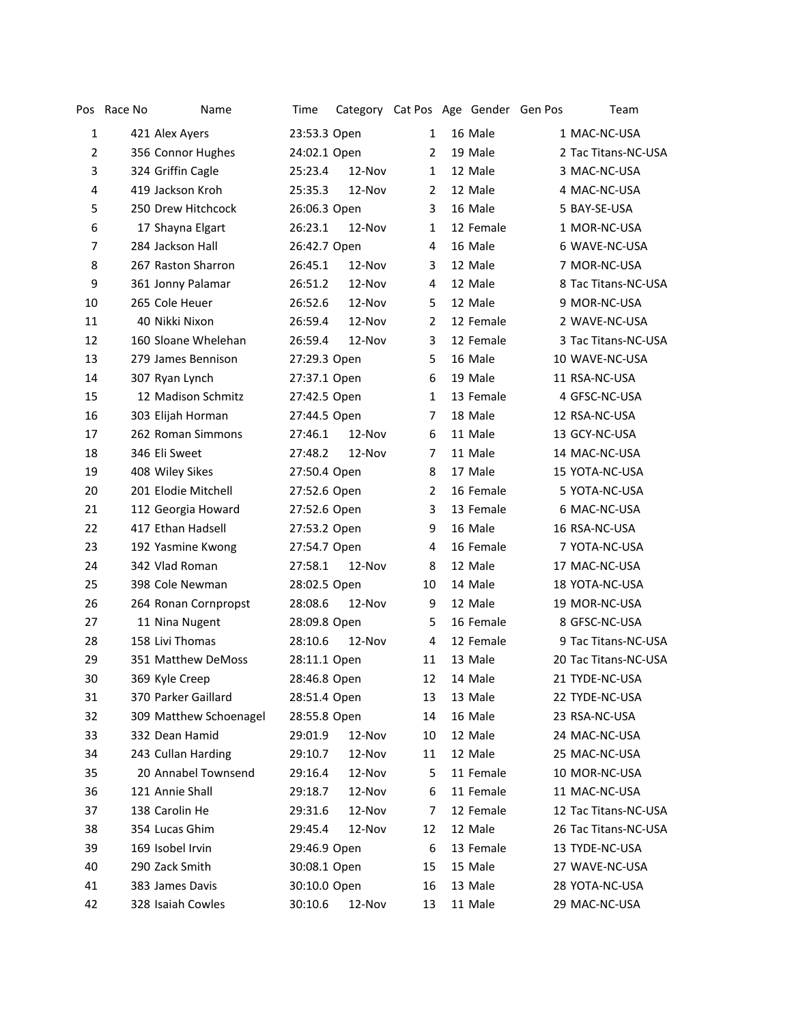| Pos            | Race No | Name                   | Time         | Category Cat Pos Age Gender Gen Pos |                |           | Team                 |
|----------------|---------|------------------------|--------------|-------------------------------------|----------------|-----------|----------------------|
| $\mathbf{1}$   |         | 421 Alex Ayers         | 23:53.3 Open |                                     | 1              | 16 Male   | 1 MAC-NC-USA         |
| $\overline{2}$ |         | 356 Connor Hughes      | 24:02.1 Open |                                     | 2              | 19 Male   | 2 Tac Titans-NC-USA  |
| 3              |         | 324 Griffin Cagle      | 25:23.4      | 12-Nov                              | $\mathbf{1}$   | 12 Male   | 3 MAC-NC-USA         |
| 4              |         | 419 Jackson Kroh       | 25:35.3      | 12-Nov                              | 2              | 12 Male   | 4 MAC-NC-USA         |
| 5              |         | 250 Drew Hitchcock     | 26:06.3 Open |                                     | 3              | 16 Male   | 5 BAY-SE-USA         |
| 6              |         | 17 Shayna Elgart       | 26:23.1      | 12-Nov                              | 1              | 12 Female | 1 MOR-NC-USA         |
| 7              |         | 284 Jackson Hall       | 26:42.7 Open |                                     | $\overline{4}$ | 16 Male   | 6 WAVE-NC-USA        |
| 8              |         | 267 Raston Sharron     | 26:45.1      | 12-Nov                              | 3              | 12 Male   | 7 MOR-NC-USA         |
| 9              |         | 361 Jonny Palamar      | 26:51.2      | 12-Nov                              | 4              | 12 Male   | 8 Tac Titans-NC-USA  |
| 10             |         | 265 Cole Heuer         | 26:52.6      | 12-Nov                              | 5              | 12 Male   | 9 MOR-NC-USA         |
| 11             |         | 40 Nikki Nixon         | 26:59.4      | 12-Nov                              | 2              | 12 Female | 2 WAVE-NC-USA        |
| 12             |         | 160 Sloane Whelehan    | 26:59.4      | 12-Nov                              | 3              | 12 Female | 3 Tac Titans-NC-USA  |
| 13             |         | 279 James Bennison     | 27:29.3 Open |                                     | 5              | 16 Male   | 10 WAVE-NC-USA       |
| 14             |         | 307 Ryan Lynch         | 27:37.1 Open |                                     | 6              | 19 Male   | 11 RSA-NC-USA        |
| 15             |         | 12 Madison Schmitz     | 27:42.5 Open |                                     | 1              | 13 Female | 4 GFSC-NC-USA        |
| 16             |         | 303 Elijah Horman      | 27:44.5 Open |                                     | 7              | 18 Male   | 12 RSA-NC-USA        |
| 17             |         | 262 Roman Simmons      | 27:46.1      | 12-Nov                              | 6              | 11 Male   | 13 GCY-NC-USA        |
| 18             |         | 346 Eli Sweet          | 27:48.2      | $12-Nov$                            | 7              | 11 Male   | 14 MAC-NC-USA        |
| 19             |         | 408 Wiley Sikes        | 27:50.4 Open |                                     | 8              | 17 Male   | 15 YOTA-NC-USA       |
| 20             |         | 201 Elodie Mitchell    | 27:52.6 Open |                                     | 2              | 16 Female | 5 YOTA-NC-USA        |
| 21             |         | 112 Georgia Howard     | 27:52.6 Open |                                     | 3              | 13 Female | 6 MAC-NC-USA         |
| 22             |         | 417 Ethan Hadsell      | 27:53.2 Open |                                     | 9              | 16 Male   | 16 RSA-NC-USA        |
| 23             |         | 192 Yasmine Kwong      | 27:54.7 Open |                                     | 4              | 16 Female | 7 YOTA-NC-USA        |
| 24             |         | 342 Vlad Roman         | 27:58.1      | 12-Nov                              | 8              | 12 Male   | 17 MAC-NC-USA        |
| 25             |         | 398 Cole Newman        | 28:02.5 Open |                                     | 10             | 14 Male   | 18 YOTA-NC-USA       |
| 26             |         | 264 Ronan Cornpropst   | 28:08.6      | 12-Nov                              | 9              | 12 Male   | 19 MOR-NC-USA        |
| 27             |         | 11 Nina Nugent         | 28:09.8 Open |                                     | 5              | 16 Female | 8 GFSC-NC-USA        |
| 28             |         | 158 Livi Thomas        | 28:10.6      | 12-Nov                              | 4              | 12 Female | 9 Tac Titans-NC-USA  |
| 29             |         | 351 Matthew DeMoss     | 28:11.1 Open |                                     | 11             | 13 Male   | 20 Tac Titans-NC-USA |
| 30             |         | 369 Kyle Creep         | 28:46.8 Open |                                     | 12             | 14 Male   | 21 TYDE-NC-USA       |
| 31             |         | 370 Parker Gaillard    | 28:51.4 Open |                                     | 13             | 13 Male   | 22 TYDE-NC-USA       |
| 32             |         | 309 Matthew Schoenagel | 28:55.8 Open |                                     | 14             | 16 Male   | 23 RSA-NC-USA        |
| 33             |         | 332 Dean Hamid         | 29:01.9      | 12-Nov                              | 10             | 12 Male   | 24 MAC-NC-USA        |
| 34             |         | 243 Cullan Harding     | 29:10.7      | 12-Nov                              | 11             | 12 Male   | 25 MAC-NC-USA        |
| 35             |         | 20 Annabel Townsend    | 29:16.4      | 12-Nov                              | 5              | 11 Female | 10 MOR-NC-USA        |
| 36             |         | 121 Annie Shall        | 29:18.7      | 12-Nov                              | 6              | 11 Female | 11 MAC-NC-USA        |
| 37             |         | 138 Carolin He         | 29:31.6      | 12-Nov                              | 7              | 12 Female | 12 Tac Titans-NC-USA |
| 38             |         | 354 Lucas Ghim         | 29:45.4      | 12-Nov                              | 12             | 12 Male   | 26 Tac Titans-NC-USA |
| 39             |         | 169 Isobel Irvin       | 29:46.9 Open |                                     | 6              | 13 Female | 13 TYDE-NC-USA       |
| 40             |         | 290 Zack Smith         | 30:08.1 Open |                                     | 15             | 15 Male   | 27 WAVE-NC-USA       |
| 41             |         | 383 James Davis        | 30:10.0 Open |                                     | 16             | 13 Male   | 28 YOTA-NC-USA       |
| 42             |         | 328 Isaiah Cowles      | 30:10.6      | 12-Nov                              | 13             | 11 Male   | 29 MAC-NC-USA        |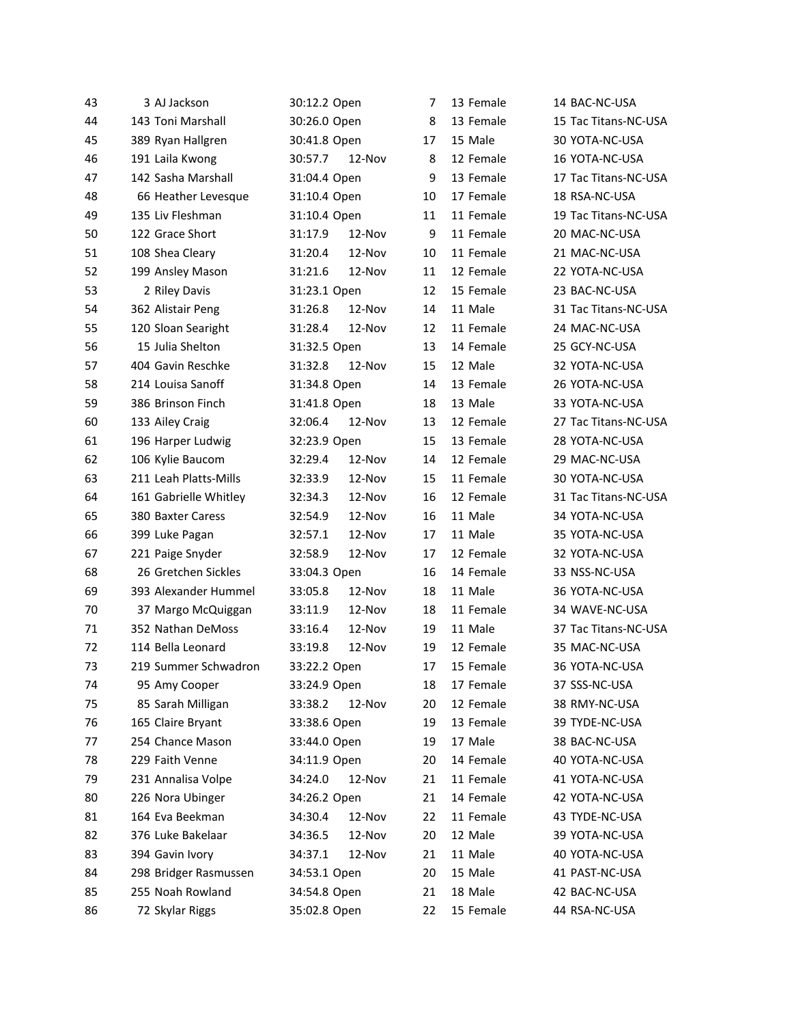| 43 | 3 AJ Jackson          | 30:12.2 Open      | 7  | 13 Female | 14 BAC-NC-USA        |
|----|-----------------------|-------------------|----|-----------|----------------------|
| 44 | 143 Toni Marshall     | 30:26.0 Open      | 8  | 13 Female | 15 Tac Titans-NC-USA |
| 45 | 389 Ryan Hallgren     | 30:41.8 Open      | 17 | 15 Male   | 30 YOTA-NC-USA       |
| 46 | 191 Laila Kwong       | 12-Nov<br>30:57.7 | 8  | 12 Female | 16 YOTA-NC-USA       |
| 47 | 142 Sasha Marshall    | 31:04.4 Open      | 9  | 13 Female | 17 Tac Titans-NC-USA |
| 48 | 66 Heather Levesque   | 31:10.4 Open      | 10 | 17 Female | 18 RSA-NC-USA        |
| 49 | 135 Liv Fleshman      | 31:10.4 Open      | 11 | 11 Female | 19 Tac Titans-NC-USA |
| 50 | 122 Grace Short       | 12-Nov<br>31:17.9 | 9  | 11 Female | 20 MAC-NC-USA        |
| 51 | 108 Shea Cleary       | 12-Nov<br>31:20.4 | 10 | 11 Female | 21 MAC-NC-USA        |
| 52 | 199 Ansley Mason      | 31:21.6<br>12-Nov | 11 | 12 Female | 22 YOTA-NC-USA       |
| 53 | 2 Riley Davis         | 31:23.1 Open      | 12 | 15 Female | 23 BAC-NC-USA        |
| 54 | 362 Alistair Peng     | 31:26.8<br>12-Nov | 14 | 11 Male   | 31 Tac Titans-NC-USA |
| 55 | 120 Sloan Searight    | 31:28.4<br>12-Nov | 12 | 11 Female | 24 MAC-NC-USA        |
| 56 | 15 Julia Shelton      | 31:32.5 Open      | 13 | 14 Female | 25 GCY-NC-USA        |
| 57 | 404 Gavin Reschke     | 31:32.8<br>12-Nov | 15 | 12 Male   | 32 YOTA-NC-USA       |
| 58 | 214 Louisa Sanoff     | 31:34.8 Open      | 14 | 13 Female | 26 YOTA-NC-USA       |
| 59 | 386 Brinson Finch     | 31:41.8 Open      | 18 | 13 Male   | 33 YOTA-NC-USA       |
| 60 | 133 Ailey Craig       | 32:06.4<br>12-Nov | 13 | 12 Female | 27 Tac Titans-NC-USA |
| 61 | 196 Harper Ludwig     | 32:23.9 Open      | 15 | 13 Female | 28 YOTA-NC-USA       |
| 62 | 106 Kylie Baucom      | 32:29.4<br>12-Nov | 14 | 12 Female | 29 MAC-NC-USA        |
| 63 | 211 Leah Platts-Mills | 32:33.9<br>12-Nov | 15 | 11 Female | 30 YOTA-NC-USA       |
| 64 | 161 Gabrielle Whitley | 12-Nov<br>32:34.3 | 16 | 12 Female | 31 Tac Titans-NC-USA |
| 65 | 380 Baxter Caress     | 12-Nov<br>32:54.9 | 16 | 11 Male   | 34 YOTA-NC-USA       |
| 66 | 399 Luke Pagan        | 12-Nov<br>32:57.1 | 17 | 11 Male   | 35 YOTA-NC-USA       |
| 67 | 221 Paige Snyder      | 32:58.9<br>12-Nov | 17 | 12 Female | 32 YOTA-NC-USA       |
| 68 | 26 Gretchen Sickles   | 33:04.3 Open      | 16 | 14 Female | 33 NSS-NC-USA        |
| 69 | 393 Alexander Hummel  | 12-Nov<br>33:05.8 | 18 | 11 Male   | 36 YOTA-NC-USA       |
| 70 | 37 Margo McQuiggan    | 33:11.9<br>12-Nov | 18 | 11 Female | 34 WAVE-NC-USA       |
| 71 | 352 Nathan DeMoss     | 12-Nov<br>33:16.4 | 19 | 11 Male   | 37 Tac Titans-NC-USA |
| 72 | 114 Bella Leonard     | 12-Nov<br>33:19.8 | 19 | 12 Female | 35 MAC-NC-USA        |
| 73 | 219 Summer Schwadron  | 33:22.2 Open      | 17 | 15 Female | 36 YOTA-NC-USA       |
| 74 | 95 Amy Cooper         | 33:24.9 Open      | 18 | 17 Female | 37 SSS-NC-USA        |
| 75 | 85 Sarah Milligan     | 33:38.2<br>12-Nov | 20 | 12 Female | 38 RMY-NC-USA        |
| 76 | 165 Claire Bryant     | 33:38.6 Open      | 19 | 13 Female | 39 TYDE-NC-USA       |
| 77 | 254 Chance Mason      | 33:44.0 Open      | 19 | 17 Male   | 38 BAC-NC-USA        |
| 78 | 229 Faith Venne       | 34:11.9 Open      | 20 | 14 Female | 40 YOTA-NC-USA       |
| 79 | 231 Annalisa Volpe    | 34:24.0<br>12-Nov | 21 | 11 Female | 41 YOTA-NC-USA       |
| 80 | 226 Nora Ubinger      | 34:26.2 Open      | 21 | 14 Female | 42 YOTA-NC-USA       |
| 81 | 164 Eva Beekman       | 34:30.4<br>12-Nov | 22 | 11 Female | 43 TYDE-NC-USA       |
| 82 | 376 Luke Bakelaar     | 12-Nov<br>34:36.5 | 20 | 12 Male   | 39 YOTA-NC-USA       |
| 83 | 394 Gavin Ivory       | 34:37.1<br>12-Nov | 21 | 11 Male   | 40 YOTA-NC-USA       |
| 84 | 298 Bridger Rasmussen | 34:53.1 Open      | 20 | 15 Male   | 41 PAST-NC-USA       |
| 85 | 255 Noah Rowland      | 34:54.8 Open      | 21 | 18 Male   | 42 BAC-NC-USA        |
| 86 | 72 Skylar Riggs       | 35:02.8 Open      | 22 | 15 Female | 44 RSA-NC-USA        |